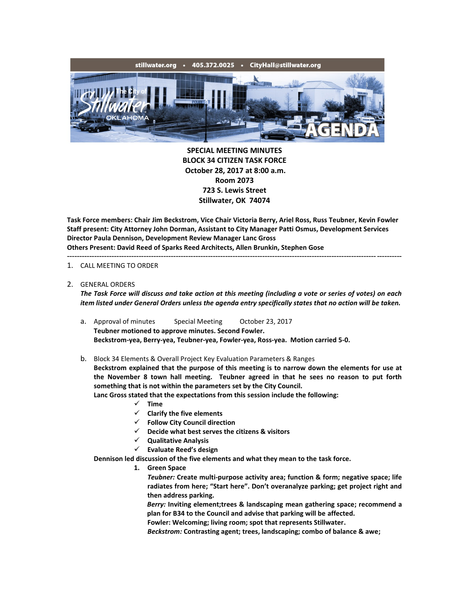

**SPECIAL MEETING MINUTES BLOCK 34 CITIZEN TASK FORCE October 28, 2017 at 8:00 a.m. Room 2073 723 S. Lewis Street Stillwater, OK 74074**

**Task Force members: Chair Jim Beckstrom, Vice Chair Victoria Berry, Ariel Ross, Russ Teubner, Kevin Fowler Staff present: City Attorney John Dorman, Assistant to City Manager Patti Osmus, Development Services Director Paula Dennison, Development Review Manager Lanc Gross Others Present: David Reed of Sparks Reed Architects, Allen Brunkin, Stephen Gose** ---------------------------------------------------------------------------------------------------------------------------------------

#### 1. CALL MEETING TO ORDER

### 2. GENERAL ORDERS

*The Task Force will discuss and take action at this meeting (including a vote or series of votes) on each item listed under General Orders unless the agenda entry specifically states that no action will be taken.*

a. Approval of minutes Special Meeting October 23, 2017 **Teubner motioned to approve minutes. Second Fowler. Beckstrom-yea, Berry-yea, Teubner-yea, Fowler-yea, Ross-yea. Motion carried 5-0.**

# b. Block 34 Elements & Overall Project Key Evaluation Parameters & Ranges

**Beckstrom explained that the purpose of this meeting is to narrow down the elements for use at the November 8 town hall meeting. Teubner agreed in that he sees no reason to put forth something that is not within the parameters set by the City Council.**

**Lanc Gross stated that the expectations from this session include the following:**

- $\times$  **Time**
- **Clarify the five elements**
- **Follow City Council direction**
- **Decide what best serves the citizens & visitors**
- **Qualitative Analysis**
- **Evaluate Reed's design**

**Dennison led discussion of the five elements and what they mean to the task force.**

**1. Green Space**

*Teubner:* **Create multi-purpose activity area; function & form; negative space; life radiates from here; "Start here". Don't overanalyze parking; get project right and then address parking.**

*Berry:* **Inviting element;trees & landscaping mean gathering space; recommend a plan for B34 to the Council and advise that parking will be affected.**

**Fowler: Welcoming; living room; spot that represents Stillwater.**

*Beckstrom:* **Contrasting agent; trees, landscaping; combo of balance & awe;**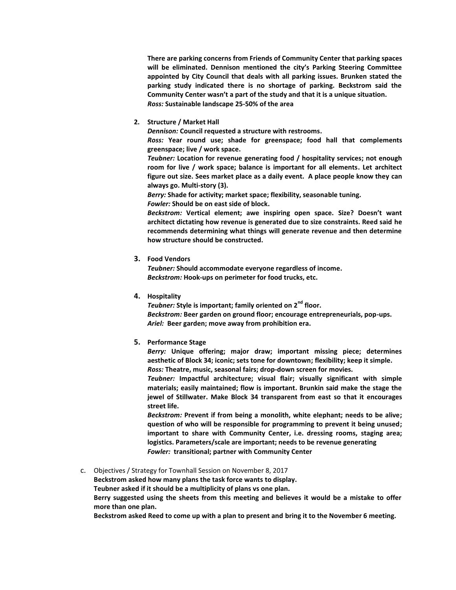**There are parking concerns from Friends of Community Center that parking spaces will be eliminated. Dennison mentioned the city's Parking Steering Committee appointed by City Council that deals with all parking issues. Brunken stated the parking study indicated there is no shortage of parking. Beckstrom said the Community Center wasn't a part of the study and that it is a unique situation.** *Ross:* **Sustainable landscape 25-50% of the area**

### **2. Structure / Market Hall**

*Dennison:* **Council requested a structure with restrooms.**

*Ross:* **Year round use; shade for greenspace; food hall that complements greenspace; live / work space.**

*Teubner:* **Location for revenue generating food / hospitality services; not enough room for live / work space; balance is important for all elements. Let architect figure out size. Sees market place as a daily event. A place people know they can always go. Multi-story (3).**

*Berry:* **Shade for activity; market space; flexibility, seasonable tuning.**

*Fowler:* **Should be on east side of block.**

*Beckstrom:* **Vertical element; awe inspiring open space. Size? Doesn't want architect dictating how revenue is generated due to size constraints. Reed said he recommends determining what things will generate revenue and then determine how structure should be constructed.**

### **3. Food Vendors**

*Teubner:* **Should accommodate everyone regardless of income.** *Beckstrom:* **Hook-ups on perimeter for food trucks, etc.**

**4. Hospitality**

*Teubner:* **Style is important; family oriented on 2nd floor.** *Beckstrom:* **Beer garden on ground floor; encourage entrepreneurials, pop-ups.** *Ariel:* **Beer garden; move away from prohibition era.**

# **5. Performance Stage**

*Berry:* **Unique offering; major draw; important missing piece; determines aesthetic of Block 34; iconic; sets tone for downtown; flexibility; keep it simple.**

*Ross:* **Theatre, music, seasonal fairs; drop-down screen for movies.**

*Teubner:* **Impactful architecture; visual flair; visually significant with simple materials; easily maintained; flow is important. Brunkin said make the stage the jewel of Stillwater. Make Block 34 transparent from east so that it encourages street life.**

*Beckstrom:* **Prevent if from being a monolith, white elephant; needs to be alive; question of who will be responsible for programming to prevent it being unused; important to share with Community Center, i.e. dressing rooms, staging area; logistics. Parameters/scale are important; needs to be revenue generating** *Fowler:* **transitional; partner with Community Center**

# c. Objectives / Strategy for Townhall Session on November 8, 2017

**Beckstrom asked how many plans the task force wants to display.**

**Teubner asked if it should be a multiplicity of plans vs one plan.**

**Berry suggested using the sheets from this meeting and believes it would be a mistake to offer more than one plan.**

**Beckstrom asked Reed to come up with a plan to present and bring it to the November 6 meeting.**